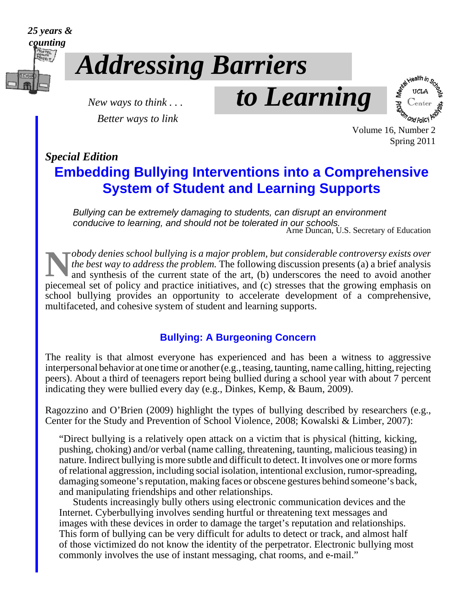

# *Addressing Barriers*

*Better ways to link*

 *New ways to think . . . to Learning*



 Volume 16, Number 2 Spring 2011

### *Special Edition*

### **Embedding Bullying Interventions into a Comprehensive System of Student and Learning Supports**

*Bullying can be extremely damaging to students, can disrupt an environment conducive to learning, and should not be tolerated in our schools.* Arne Duncan, U.S. Secretary of Education

**N***obody denies school bullying is a major problem, but considerable controversy exists over* the best way to address the problem. The following discussion presents (a) a brief analysis and synthesis of the current state *the best way to address the problem.* The following discussion presents (a) a brief analysis and synthesis of the current state of the art, (b) underscores the need to avoid another piecemeal set of policy and practice initiatives, and (c) stresses that the growing emphasis on school bullying provides an opportunity to accelerate development of a comprehensive, multifaceted, and cohesive system of student and learning supports.

#### **Bullying: A Burgeoning Concern**

The reality is that almost everyone has experienced and has been a witness to aggressive interpersonal behavior at one time or another (e.g., teasing, taunting, name calling, hitting, rejecting peers). About a third of teenagers report being bullied during a school year with about 7 percent indicating they were bullied every day (e.g., Dinkes, Kemp, & Baum, 2009).

Ragozzino and O'Brien (2009) highlight the types of bullying described by researchers (e.g., Center for the Study and Prevention of School Violence, 2008; Kowalski & Limber, 2007):

"Direct bullying is a relatively open attack on a victim that is physical (hitting, kicking, pushing, choking) and/or verbal (name calling, threatening, taunting, malicious teasing) in nature. Indirect bullying is more subtle and difficult to detect. It involves one or more forms of relational aggression, including social isolation, intentional exclusion, rumor-spreading, damaging someone's reputation, making faces or obscene gestures behind someone's back, and manipulating friendships and other relationships.

Students increasingly bully others using electronic communication devices and the Internet. Cyberbullying involves sending hurtful or threatening text messages and images with these devices in order to damage the target's reputation and relationships. This form of bullying can be very difficult for adults to detect or track, and almost half of those victimized do not know the identity of the perpetrator. Electronic bullying most commonly involves the use of instant messaging, chat rooms, and e-mail."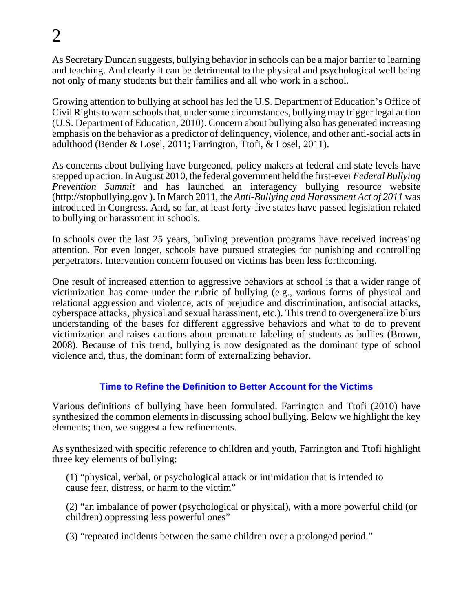As Secretary Duncan suggests, bullying behavior in schools can be a major barrier to learning and teaching. And clearly it can be detrimental to the physical and psychological well being not only of many students but their families and all who work in a school.

Growing attention to bullying at school has led the U.S. Department of Education's Office of Civil Rights to warn schools that, under some circumstances, bullying may trigger legal action (U.S. Department of Education, 2010). Concern about bullying also has generated increasing emphasis on the behavior as a predictor of delinquency, violence, and other anti-social acts in adulthood (Bender & Losel, 2011; Farrington, Ttofi, & Losel, 2011).

As concerns about bullying have burgeoned, policy makers at federal and state levels have stepped up action. In August 2010, the federal government held the first-ever *Federal Bullying Prevention Summit* and has launched an interagency bullying resource website ([http://stopbullying.gov \). In](http://stopbullying.gov) March 2011, the *Anti-Bullying and Harassment Act of 2011* was introduced in Congress. And, so far, at least forty-five states have passed legislation related to bullying or harassment in schools.

In schools over the last 25 years, bullying prevention programs have received increasing attention. For even longer, schools have pursued strategies for punishing and controlling perpetrators. Intervention concern focused on victims has been less forthcoming.

One result of increased attention to aggressive behaviors at school is that a wider range of victimization has come under the rubric of bullying (e.g., various forms of physical and relational aggression and violence, acts of prejudice and discrimination, antisocial attacks, cyberspace attacks, physical and sexual harassment, etc.). This trend to overgeneralize blurs understanding of the bases for different aggressive behaviors and what to do to prevent victimization and raises cautions about premature labeling of students as bullies (Brown, 2008). Because of this trend, bullying is now designated as the dominant type of school violence and, thus, the dominant form of externalizing behavior.

#### **Time to Refine the Definition to Better Account for the Victims**

Various definitions of bullying have been formulated. Farrington and Ttofi (2010) have synthesized the common elements in discussing school bullying. Below we highlight the key elements; then, we suggest a few refinements.

As synthesized with specific reference to children and youth, Farrington and Ttofi highlight three key elements of bullying:

(1) "physical, verbal, or psychological attack or intimidation that is intended to cause fear, distress, or harm to the victim"

(2) "an imbalance of power (psychological or physical), with a more powerful child (or children) oppressing less powerful ones"

(3) "repeated incidents between the same children over a prolonged period."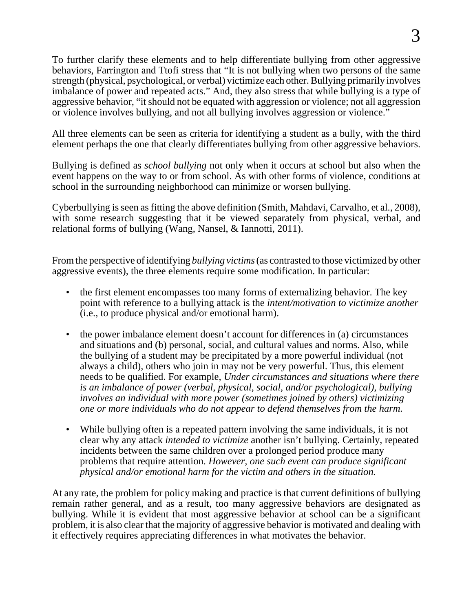To further clarify these elements and to help differentiate bullying from other aggressive behaviors, Farrington and Ttofi stress that "It is not bullying when two persons of the same strength (physical, psychological, or verbal) victimize each other. Bullying primarily involves imbalance of power and repeated acts." And, they also stress that while bullying is a type of aggressive behavior, "it should not be equated with aggression or violence; not all aggression or violence involves bullying, and not all bullying involves aggression or violence."

All three elements can be seen as criteria for identifying a student as a bully, with the third element perhaps the one that clearly differentiates bullying from other aggressive behaviors.

Bullying is defined as *school bullying* not only when it occurs at school but also when the event happens on the way to or from school. As with other forms of violence, conditions at school in the surrounding neighborhood can minimize or worsen bullying.

Cyberbullying is seen as fitting the above definition (Smith, Mahdavi, Carvalho, et al., 2008), with some research suggesting that it be viewed separately from physical, verbal, and relational forms of bullying (Wang, Nansel, & Iannotti, 2011).

From the perspective of identifying *bullying victims* (as contrasted to those victimized by other aggressive events), the three elements require some modification. In particular:

- the first element encompasses too many forms of externalizing behavior. The key point with reference to a bullying attack is the *intent/motivation to victimize another* (i.e., to produce physical and/or emotional harm).
- the power imbalance element doesn't account for differences in (a) circumstances and situations and (b) personal, social, and cultural values and norms. Also, while the bullying of a student may be precipitated by a more powerful individual (not always a child), others who join in may not be very powerful. Thus, this element needs to be qualified. For example, *Under circumstances and situations where there is an imbalance of power (verbal, physical, social, and/or psychological), bullying involves an individual with more power (sometimes joined by others) victimizing one or more individuals who do not appear to defend themselves from the harm.*
- While bullying often is a repeated pattern involving the same individuals, it is not clear why any attack *intended to victimize* another isn't bullying. Certainly, repeated incidents between the same children over a prolonged period produce many problems that require attention. *However, one such event can produce significant physical and/or emotional harm for the victim and others in the situation.*

At any rate, the problem for policy making and practice is that current definitions of bullying remain rather general, and as a result, too many aggressive behaviors are designated as bullying. While it is evident that most aggressive behavior at school can be a significant problem, it is also clear that the majority of aggressive behavior is motivated and dealing with it effectively requires appreciating differences in what motivates the behavior.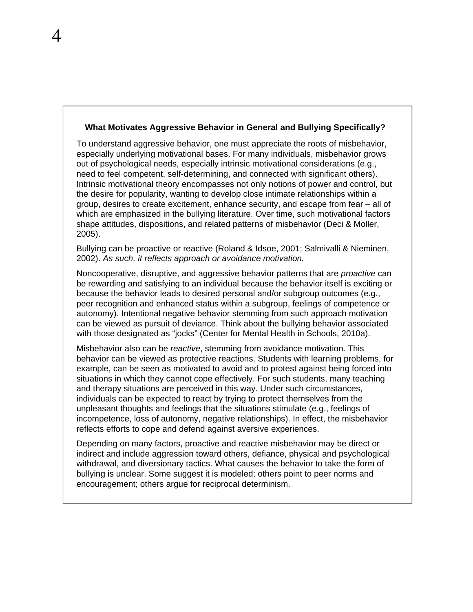#### **What Motivates Aggressive Behavior in General and Bullying Specifically?**

To understand aggressive behavior, one must appreciate the roots of misbehavior, especially underlying motivational bases. For many individuals, misbehavior grows out of psychological needs, especially intrinsic motivational considerations (e.g., need to feel competent, self-determining, and connected with significant others). Intrinsic motivational theory encompasses not only notions of power and control, but the desire for popularity, wanting to develop close intimate relationships within a group, desires to create excitement, enhance security, and escape from fear – all of which are emphasized in the bullying literature. Over time, such motivational factors shape attitudes, dispositions, and related patterns of misbehavior (Deci & Moller, 2005).

Bullying can be proactive or reactive (Roland & Idsoe, 2001; Salmivalli & Nieminen, 2002). *As such, it reflects approach or avoidance motivation.*

Noncooperative, disruptive, and aggressive behavior patterns that are *proactive* can be rewarding and satisfying to an individual because the behavior itself is exciting or because the behavior leads to desired personal and/or subgroup outcomes (e.g., peer recognition and enhanced status within a subgroup, feelings of competence or autonomy). Intentional negative behavior stemming from such approach motivation can be viewed as pursuit of deviance. Think about the bullying behavior associated with those designated as "jocks" (Center for Mental Health in Schools, 2010a).

Misbehavior also can be *reactive*, stemming from avoidance motivation. This behavior can be viewed as protective reactions. Students with learning problems, for example, can be seen as motivated to avoid and to protest against being forced into situations in which they cannot cope effectively. For such students, many teaching and therapy situations are perceived in this way. Under such circumstances, individuals can be expected to react by trying to protect themselves from the unpleasant thoughts and feelings that the situations stimulate (e.g., feelings of incompetence, loss of autonomy, negative relationships). In effect, the misbehavior reflects efforts to cope and defend against aversive experiences.

Depending on many factors, proactive and reactive misbehavior may be direct or indirect and include aggression toward others, defiance, physical and psychological withdrawal, and diversionary tactics. What causes the behavior to take the form of bullying is unclear. Some suggest it is modeled; others point to peer norms and encouragement; others argue for reciprocal determinism.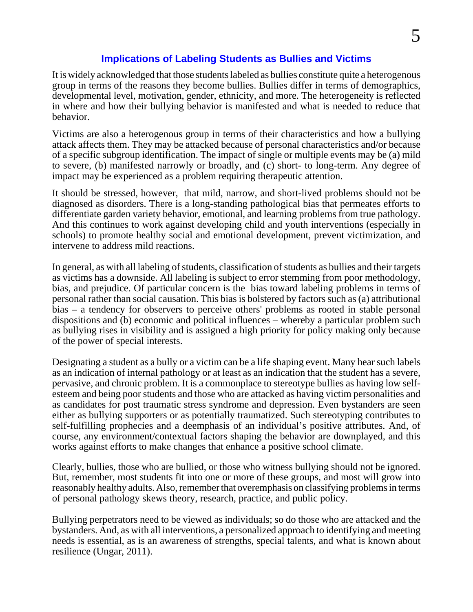#### **Implications of Labeling Students as Bullies and Victims**

It is widely acknowledged that those students labeled as bullies constitute quite a heterogenous group in terms of the reasons they become bullies. Bullies differ in terms of demographics, developmental level, motivation, gender, ethnicity, and more. The heterogeneity is reflected in where and how their bullying behavior is manifested and what is needed to reduce that behavior.

Victims are also a heterogenous group in terms of their characteristics and how a bullying attack affects them. They may be attacked because of personal characteristics and/or because of a specific subgroup identification. The impact of single or multiple events may be (a) mild to severe, (b) manifested narrowly or broadly, and (c) short- to long-term. Any degree of impact may be experienced as a problem requiring therapeutic attention.

It should be stressed, however, that mild, narrow, and short-lived problems should not be diagnosed as disorders. There is a long-standing pathological bias that permeates efforts to differentiate garden variety behavior, emotional, and learning problems from true pathology. And this continues to work against developing child and youth interventions (especially in schools) to promote healthy social and emotional development, prevent victimization, and intervene to address mild reactions.

In general, as with all labeling of students, classification of students as bullies and their targets as victims has a downside. All labeling is subject to error stemming from poor methodology, bias, and prejudice. Of particular concern is the bias toward labeling problems in terms of personal rather than social causation. This bias is bolstered by factors such as (a) attributional bias – a tendency for observers to perceive others' problems as rooted in stable personal dispositions and (b) economic and political influences – whereby a particular problem such as bullying rises in visibility and is assigned a high priority for policy making only because of the power of special interests.

Designating a student as a bully or a victim can be a life shaping event. Many hear such labels as an indication of internal pathology or at least as an indication that the student has a severe, pervasive, and chronic problem. It is a commonplace to stereotype bullies as having low selfesteem and being poor students and those who are attacked as having victim personalities and as candidates for post traumatic stress syndrome and depression. Even bystanders are seen either as bullying supporters or as potentially traumatized. Such stereotyping contributes to self-fulfilling prophecies and a deemphasis of an individual's positive attributes. And, of course, any environment/contextual factors shaping the behavior are downplayed, and this works against efforts to make changes that enhance a positive school climate.

Clearly, bullies, those who are bullied, or those who witness bullying should not be ignored. But, remember, most students fit into one or more of these groups, and most will grow into reasonably healthy adults. Also, remember that overemphasis on classifying problems in terms of personal pathology skews theory, research, practice, and public policy.

Bullying perpetrators need to be viewed as individuals; so do those who are attacked and the bystanders. And, as with all interventions, a personalized approach to identifying and meeting needs is essential, as is an awareness of strengths, special talents, and what is known about resilience (Ungar, 2011).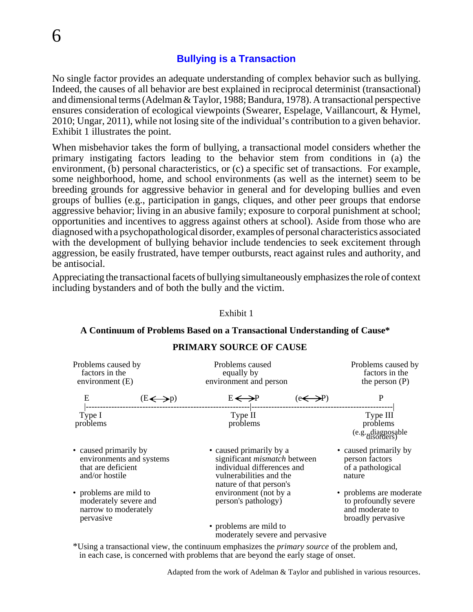#### **Bullying is a Transaction**

No single factor provides an adequate understanding of complex behavior such as bullying. Indeed, the causes of all behavior are best explained in reciprocal determinist (transactional) and dimensional terms (Adelman & Taylor, 1988; Bandura, 1978). A transactional perspective ensures consideration of ecological viewpoints (Swearer, Espelage, Vaillancourt, & Hymel, 2010; Ungar, 2011), while not losing site of the individual's contribution to a given behavior. Exhibit 1 illustrates the point.

When misbehavior takes the form of bullying, a transactional model considers whether the primary instigating factors leading to the behavior stem from conditions in (a) the environment, (b) personal characteristics, or (c) a specific set of transactions. For example, some neighborhood, home, and school environments (as well as the internet) seem to be breeding grounds for aggressive behavior in general and for developing bullies and even groups of bullies (e.g., participation in gangs, cliques, and other peer groups that endorse aggressive behavior; living in an abusive family; exposure to corporal punishment at school; opportunities and incentives to aggress against others at school). Aside from those who are diagnosed with a psychopathological disorder, examples of personal characteristics associated with the development of bullying behavior include tendencies to seek excitement through aggression, be easily frustrated, have temper outbursts, react against rules and authority, and be antisocial.

Appreciating the transactional facets of bullying simultaneously emphasizes the role of context including bystanders and of both the bully and the victim.

Exhibit 1

| Problems caused by<br>factors in the<br>environment $(E)$                                 | Problems caused<br>equally by<br>environment and person                                                                                            | Problems caused by<br>factors in the<br>the person $(P)$                                |
|-------------------------------------------------------------------------------------------|----------------------------------------------------------------------------------------------------------------------------------------------------|-----------------------------------------------------------------------------------------|
| E<br>$(E \leftrightarrow p)$                                                              | E ← →P<br>------------------------ -----------                                                                                                     |                                                                                         |
| Type I<br>problems                                                                        | Type II<br>problems                                                                                                                                | Type III<br>problems<br>(e.g., diagnosable<br>disorders)                                |
| • caused primarily by<br>environments and systems<br>that are deficient<br>and/or hostile | • caused primarily by a<br>significant <i>mismatch</i> between<br>individual differences and<br>vulnerabilities and the<br>nature of that person's | • caused primarily by<br>person factors<br>of a pathological<br>nature                  |
| • problems are mild to<br>moderately severe and<br>narrow to moderately<br>pervasive      | environment (not by a<br>person's pathology)                                                                                                       | • problems are moderate<br>to profoundly severe<br>and moderate to<br>broadly pervasive |
|                                                                                           | • problems are mild to<br>moderately severe and pervasive                                                                                          |                                                                                         |

#### **A Continuum of Problems Based on a Transactional Understanding of Cause\* PRIMARY SOURCE OF CAUSE**

\*Using a transactional view, the continuum emphasizes the *primary source* of the problem and, in each case, is concerned with problems that are beyond the early stage of onset.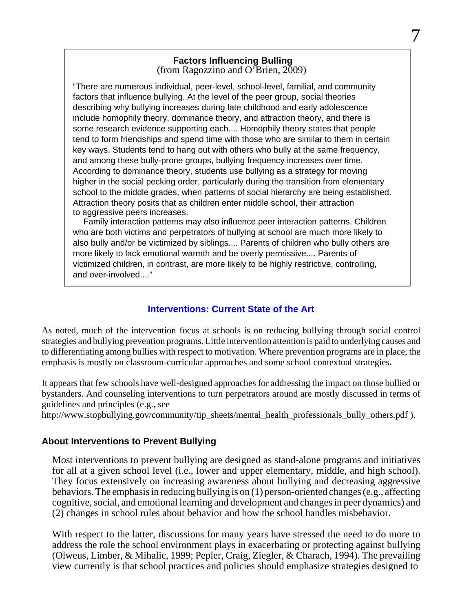#### **Factors Influencing Bulling**  (from Ragozzino and O'Brien,  $2009$ )

7

"There are numerous individual, peer-level, school-level, familial, and community factors that influence bullying. At the level of the peer group, social theories describing why bullying increases during late childhood and early adolescence include homophily theory, dominance theory, and attraction theory, and there is some research evidence supporting each.... Homophily theory states that people tend to form friendships and spend time with those who are similar to them in certain key ways. Students tend to hang out with others who bully at the same frequency, and among these bully-prone groups, bullying frequency increases over time. According to dominance theory, students use bullying as a strategy for moving higher in the social pecking order, particularly during the transition from elementary school to the middle grades, when patterns of social hierarchy are being established. Attraction theory posits that as children enter middle school, their attraction to aggressive peers increases.

Family interaction patterns may also influence peer interaction patterns. Children who are both victims and perpetrators of bullying at school are much more likely to also bully and/or be victimized by siblings.... Parents of children who bully others are more likely to lack emotional warmth and be overly permissive.... Parents of victimized children, in contrast, are more likely to be highly restrictive, controlling, and over-involved...."

#### **Interventions: Current State of the Art**

As noted, much of the intervention focus at schools is on reducing bullying through social control strategies and bullying prevention programs. Little intervention attention is paid to underlying causes and to differentiating among bullies with respect to motivation. Where prevention programs are in place, the emphasis is mostly on classroom-curricular approaches and some school contextual strategies.

It appears that few schools have well-designed approaches for addressing the impact on those bullied or bystanders. And counseling interventions to turn perpetrators around are mostly discussed in terms of guidelines and principles (e.g., see

[http://www.stopbullying.gov/community/tip\\_sheets/mental\\_health\\_professionals\\_bully\\_others.pdf \).](http://www.stopbullying.gov/community/tip_sheets/mental_health_professionals_bully_others.pdf)

#### **About Interventions to Prevent Bullying**

Most interventions to prevent bullying are designed as stand-alone programs and initiatives for all at a given school level (i.e., lower and upper elementary, middle, and high school). They focus extensively on increasing awareness about bullying and decreasing aggressive behaviors. The emphasis in reducing bullying is on (1) person-oriented changes (e.g., affecting cognitive, social, and emotional learning and development and changes in peer dynamics) and (2) changes in school rules about behavior and how the school handles misbehavior.

With respect to the latter, discussions for many years have stressed the need to do more to address the role the school environment plays in exacerbating or protecting against bullying (Olweus, Limber, & Mihalic, 1999; Pepler, Craig, Ziegler, & Charach, 1994). The prevailing view currently is that school practices and policies should emphasize strategies designed to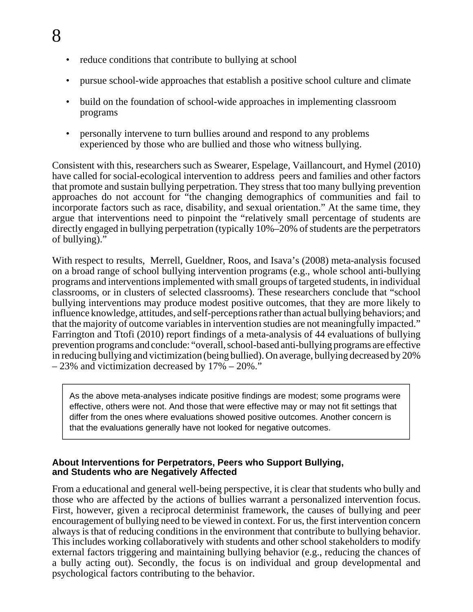- reduce conditions that contribute to bullying at school
- pursue school-wide approaches that establish a positive school culture and climate
- build on the foundation of school-wide approaches in implementing classroom programs
- personally intervene to turn bullies around and respond to any problems experienced by those who are bullied and those who witness bullying.

Consistent with this, researchers such as Swearer, Espelage, Vaillancourt, and Hymel (2010) have called for social-ecological intervention to address peers and families and other factors that promote and sustain bullying perpetration. They stress that too many bullying prevention approaches do not account for "the changing demographics of communities and fail to incorporate factors such as race, disability, and sexual orientation." At the same time, they argue that interventions need to pinpoint the "relatively small percentage of students are directly engaged in bullying perpetration (typically 10%–20% of students are the perpetrators of bullying)."

With respect to results, Merrell, Gueldner, Roos, and Isava's (2008) meta-analysis focused on a broad range of school bullying intervention programs (e.g., whole school anti-bullying programs and interventions implemented with small groups of targeted students, in individual classrooms, or in clusters of selected classrooms). These researchers conclude that "school bullying interventions may produce modest positive outcomes, that they are more likely to influence knowledge, attitudes, and self-perceptions rather than actual bullying behaviors; and that the majority of outcome variables in intervention studies are not meaningfully impacted." Farrington and Ttofi (2010) report findings of a meta-analysis of 44 evaluations of bullying prevention programs and conclude: "overall, school-based anti-bullying programs are effective in reducing bullying and victimization (being bullied). On average, bullying decreased by 20% – 23% and victimization decreased by 17% – 20%."

As the above meta-analyses indicate positive findings are modest; some programs were effective, others were not. And those that were effective may or may not fit settings that differ from the ones where evaluations showed positive outcomes. Another concern is that the evaluations generally have not looked for negative outcomes.

#### **About Interventions for Perpetrators, Peers who Support Bullying, and Students who are Negatively Affected**

From a educational and general well-being perspective, it is clear that students who bully and those who are affected by the actions of bullies warrant a personalized intervention focus. First, however, given a reciprocal determinist framework, the causes of bullying and peer encouragement of bullying need to be viewed in context. For us, the first intervention concern always is that of reducing conditions in the environment that contribute to bullying behavior. This includes working collaboratively with students and other school stakeholders to modify external factors triggering and maintaining bullying behavior (e.g., reducing the chances of a bully acting out). Secondly, the focus is on individual and group developmental and psychological factors contributing to the behavior.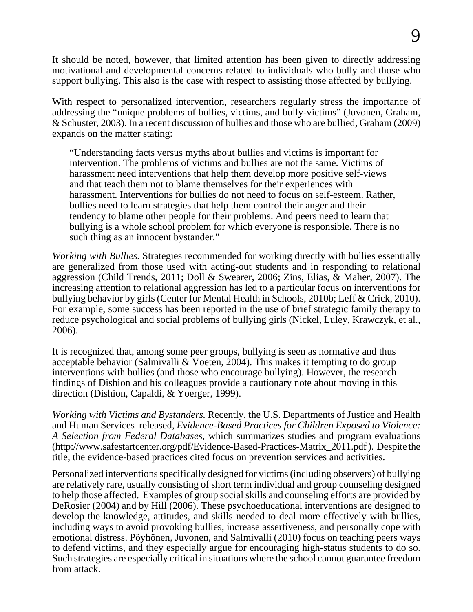It should be noted, however, that limited attention has been given to directly addressing motivational and developmental concerns related to individuals who bully and those who support bullying. This also is the case with respect to assisting those affected by bullying.

With respect to personalized intervention, researchers regularly stress the importance of addressing the "unique problems of bullies, victims, and bully-victims" (Juvonen, Graham, & Schuster, 2003). In a recent discussion of bullies and those who are bullied, Graham (2009) expands on the matter stating:

"Understanding facts versus myths about bullies and victims is important for intervention. The problems of victims and bullies are not the same. Victims of harassment need interventions that help them develop more positive self-views and that teach them not to blame themselves for their experiences with harassment. Interventions for bullies do not need to focus on self-esteem. Rather, bullies need to learn strategies that help them control their anger and their tendency to blame other people for their problems. And peers need to learn that bullying is a whole school problem for which everyone is responsible. There is no such thing as an innocent by stander."

*Working with Bullies.* Strategies recommended for working directly with bullies essentially are generalized from those used with acting-out students and in responding to relational aggression (Child Trends, 2011; Doll & Swearer, 2006; Zins, Elias, & Maher, 2007). The increasing attention to relational aggression has led to a particular focus on interventions for bullying behavior by girls (Center for Mental Health in Schools, 2010b; Leff & Crick, 2010). For example, some success has been reported in the use of brief strategic family therapy to reduce psychological and social problems of bullying girls (Nickel, Luley, Krawczyk, et al., 2006).

It is recognized that, among some peer groups, bullying is seen as normative and thus acceptable behavior (Salmivalli & Voeten, 2004). This makes it tempting to do group interventions with bullies (and those who encourage bullying). However, the research findings of Dishion and his colleagues provide a cautionary note about moving in this direction (Dishion, Capaldi, & Yoerger, 1999).

*Working with Victims and Bystanders.* Recently, the U.S. Departments of Justice and Health and Human Services released, *Evidence-Based Practices for Children Exposed to Violence: A Selection from Federal Databases,* which summarizes studies and program evaluations ([http://www.safestartcenter.org/pdf/Evidence-Based-Practices-Matrix\\_2011.pdf \). D](http://www.safestartcenter.org/pdf/Evidence-Based-Practices-Matrix_2011.pdf)espite the title, the evidence-based practices cited focus on prevention services and activities.

Personalized interventions specifically designed for victims (including observers) of bullying are relatively rare, usually consisting of short term individual and group counseling designed to help those affected. Examples of group social skills and counseling efforts are provided by DeRosier (2004) and by Hill (2006). These psychoeducational interventions are designed to develop the knowledge, attitudes, and skills needed to deal more effectively with bullies, including ways to avoid provoking bullies, increase assertiveness, and personally cope with emotional distress. Pöyhönen, Juvonen, and Salmivalli (2010) focus on teaching peers ways to defend victims, and they especially argue for encouraging high-status students to do so. Such strategies are especially critical in situations where the school cannot guarantee freedom from attack.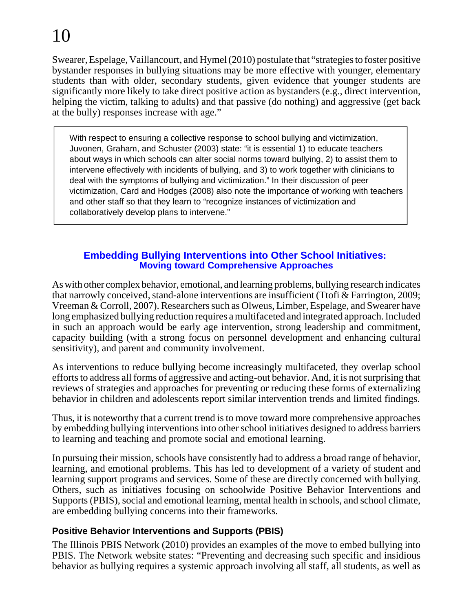Swearer, Espelage, Vaillancourt, and Hymel (2010) postulate that "strategies to foster positive bystander responses in bullying situations may be more effective with younger, elementary students than with older, secondary students, given evidence that younger students are significantly more likely to take direct positive action as bystanders (e.g., direct intervention, helping the victim, talking to adults) and that passive (do nothing) and aggressive (get back at the bully) responses increase with age."

With respect to ensuring a collective response to school bullying and victimization, Juvonen, Graham, and Schuster (2003) state: "it is essential 1) to educate teachers about ways in which schools can alter social norms toward bullying, 2) to assist them to intervene effectively with incidents of bullying, and 3) to work together with clinicians to deal with the symptoms of bullying and victimization." In their discussion of peer victimization, Card and Hodges (2008) also note the importance of working with teachers and other staff so that they learn to "recognize instances of victimization and collaboratively develop plans to intervene."

#### **Embedding Bullying Interventions into Other School Initiatives: Moving toward Comprehensive Approaches**

As with other complex behavior, emotional, and learning problems, bullying research indicates that narrowly conceived, stand-alone interventions are insufficient (Ttofi & Farrington, 2009; Vreeman & Corroll, 2007). Researchers such as Olweus, Limber, Espelage, and Swearer have long emphasized bullying reduction requires a multifaceted and integrated approach. Included in such an approach would be early age intervention, strong leadership and commitment, capacity building (with a strong focus on personnel development and enhancing cultural sensitivity), and parent and community involvement.

As interventions to reduce bullying become increasingly multifaceted, they overlap school efforts to address all forms of aggressive and acting-out behavior. And, it is not surprising that reviews of strategies and approaches for preventing or reducing these forms of externalizing behavior in children and adolescents report similar intervention trends and limited findings.

Thus, it is noteworthy that a current trend is to move toward more comprehensive approaches by embedding bullying interventions into other school initiatives designed to address barriers to learning and teaching and promote social and emotional learning.

In pursuing their mission, schools have consistently had to address a broad range of behavior, learning, and emotional problems. This has led to development of a variety of student and learning support programs and services. Some of these are directly concerned with bullying. Others, such as initiatives focusing on schoolwide Positive Behavior Interventions and Supports (PBIS), social and emotional learning, mental health in schools, and school climate, are embedding bullying concerns into their frameworks.

### **Positive Behavior Interventions and Supports (PBIS)**

The Illinois PBIS Network (2010) provides an examples of the move to embed bullying into PBIS. The Network website states: "Preventing and decreasing such specific and insidious behavior as bullying requires a systemic approach involving all staff, all students, as well as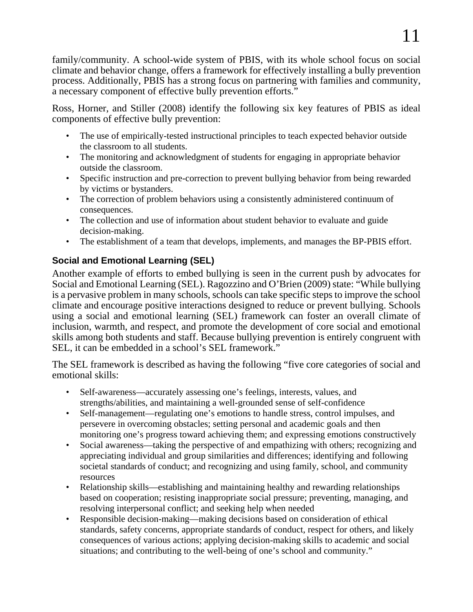family/community. A school-wide system of PBIS, with its whole school focus on social climate and behavior change, offers a framework for effectively installing a bully prevention process. Additionally, PBIS has a strong focus on partnering with families and community, a necessary component of effective bully prevention efforts."

Ross, Horner, and Stiller (2008) identify the following six key features of PBIS as ideal components of effective bully prevention:

- The use of empirically-tested instructional principles to teach expected behavior outside the classroom to all students.
- The monitoring and acknowledgment of students for engaging in appropriate behavior outside the classroom.
- Specific instruction and pre-correction to prevent bullying behavior from being rewarded by victims or bystanders.
- The correction of problem behaviors using a consistently administered continuum of consequences.
- The collection and use of information about student behavior to evaluate and guide decision-making.
- The establishment of a team that develops, implements, and manages the BP-PBIS effort.

### **Social and Emotional Learning (SEL)**

Another example of efforts to embed bullying is seen in the current push by advocates for Social and Emotional Learning (SEL). Ragozzino and O'Brien (2009) state: "While bullying is a pervasive problem in many schools, schools can take specific steps to improve the school climate and encourage positive interactions designed to reduce or prevent bullying. Schools using a social and emotional learning (SEL) framework can foster an overall climate of inclusion, warmth, and respect, and promote the development of core social and emotional skills among both students and staff. Because bullying prevention is entirely congruent with SEL, it can be embedded in a school's SEL framework."

The SEL framework is described as having the following "five core categories of social and emotional skills:

- Self-awareness—accurately assessing one's feelings, interests, values, and strengths/abilities, and maintaining a well-grounded sense of self-confidence
- Self-management—regulating one's emotions to handle stress, control impulses, and persevere in overcoming obstacles; setting personal and academic goals and then monitoring one's progress toward achieving them; and expressing emotions constructively
- Social awareness—taking the perspective of and empathizing with others; recognizing and appreciating individual and group similarities and differences; identifying and following societal standards of conduct; and recognizing and using family, school, and community resources
- Relationship skills—establishing and maintaining healthy and rewarding relationships based on cooperation; resisting inappropriate social pressure; preventing, managing, and resolving interpersonal conflict; and seeking help when needed
- Responsible decision-making—making decisions based on consideration of ethical standards, safety concerns, appropriate standards of conduct, respect for others, and likely consequences of various actions; applying decision-making skills to academic and social situations; and contributing to the well-being of one's school and community."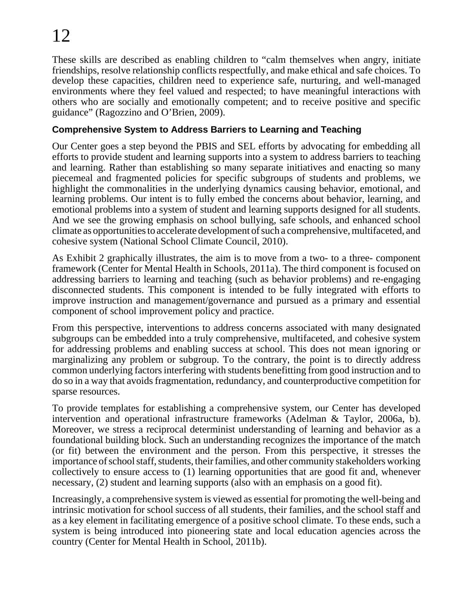These skills are described as enabling children to "calm themselves when angry, initiate friendships, resolve relationship conflicts respectfully, and make ethical and safe choices. To develop these capacities, children need to experience safe, nurturing, and well-managed environments where they feel valued and respected; to have meaningful interactions with others who are socially and emotionally competent; and to receive positive and specific guidance" (Ragozzino and O'Brien, 2009).

#### **Comprehensive System to Address Barriers to Learning and Teaching**

Our Center goes a step beyond the PBIS and SEL efforts by advocating for embedding all efforts to provide student and learning supports into a system to address barriers to teaching and learning. Rather than establishing so many separate initiatives and enacting so many piecemeal and fragmented policies for specific subgroups of students and problems, we highlight the commonalities in the underlying dynamics causing behavior, emotional, and learning problems. Our intent is to fully embed the concerns about behavior, learning, and emotional problems into a system of student and learning supports designed for all students. And we see the growing emphasis on school bullying, safe schools, and enhanced school climate as opportunities to accelerate development of such a comprehensive, multifaceted, and cohesive system (National School Climate Council, 2010).

As Exhibit 2 graphically illustrates, the aim is to move from a two- to a three- component framework (Center for Mental Health in Schools, 2011a). The third component is focused on addressing barriers to learning and teaching (such as behavior problems) and re-engaging disconnected students. This component is intended to be fully integrated with efforts to improve instruction and management/governance and pursued as a primary and essential component of school improvement policy and practice.

From this perspective, interventions to address concerns associated with many designated subgroups can be embedded into a truly comprehensive, multifaceted, and cohesive system for addressing problems and enabling success at school. This does not mean ignoring or marginalizing any problem or subgroup. To the contrary, the point is to directly address common underlying factors interfering with students benefitting from good instruction and to do so in a way that avoids fragmentation, redundancy, and counterproductive competition for sparse resources.

To provide templates for establishing a comprehensive system, our Center has developed intervention and operational infrastructure frameworks (Adelman & Taylor, 2006a, b). Moreover, we stress a reciprocal determinist understanding of learning and behavior as a foundational building block. Such an understanding recognizes the importance of the match (or fit) between the environment and the person. From this perspective, it stresses the importance of school staff, students, their families, and other community stakeholders working collectively to ensure access to (1) learning opportunities that are good fit and, whenever necessary, (2) student and learning supports (also with an emphasis on a good fit).

Increasingly, a comprehensive system is viewed as essential for promoting the well-being and intrinsic motivation for school success of all students, their families, and the school staff and as a key element in facilitating emergence of a positive school climate. To these ends, such a system is being introduced into pioneering state and local education agencies across the country (Center for Mental Health in School, 2011b).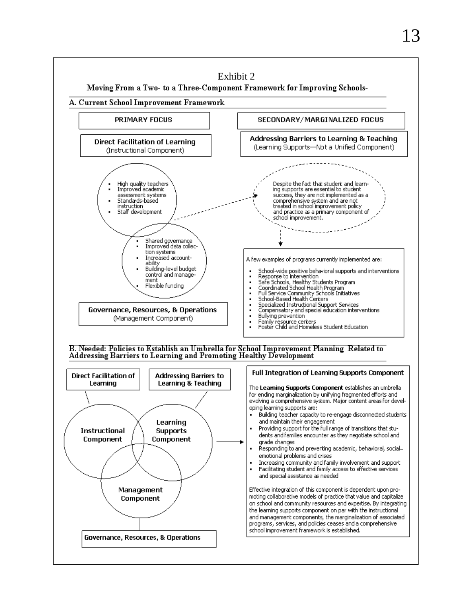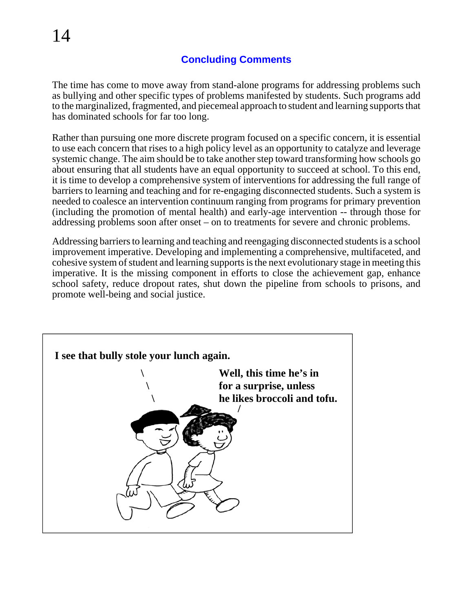#### **Concluding Comments**

The time has come to move away from stand-alone programs for addressing problems such as bullying and other specific types of problems manifested by students. Such programs add to the marginalized, fragmented, and piecemeal approach to student and learning supports that has dominated schools for far too long.

Rather than pursuing one more discrete program focused on a specific concern, it is essential to use each concern that rises to a high policy level as an opportunity to catalyze and leverage systemic change. The aim should be to take another step toward transforming how schools go about ensuring that all students have an equal opportunity to succeed at school. To this end, it is time to develop a comprehensive system of interventions for addressing the full range of barriers to learning and teaching and for re-engaging disconnected students. Such a system is needed to coalesce an intervention continuum ranging from programs for primary prevention (including the promotion of mental health) and early-age intervention -- through those for addressing problems soon after onset – on to treatments for severe and chronic problems.

Addressing barriers to learning and teaching and reengaging disconnected students is a school improvement imperative. Developing and implementing a comprehensive, multifaceted, and cohesive system of student and learning supports is the next evolutionary stage in meeting this imperative. It is the missing component in efforts to close the achievement gap, enhance school safety, reduce dropout rates, shut down the pipeline from schools to prisons, and promote well-being and social justice.

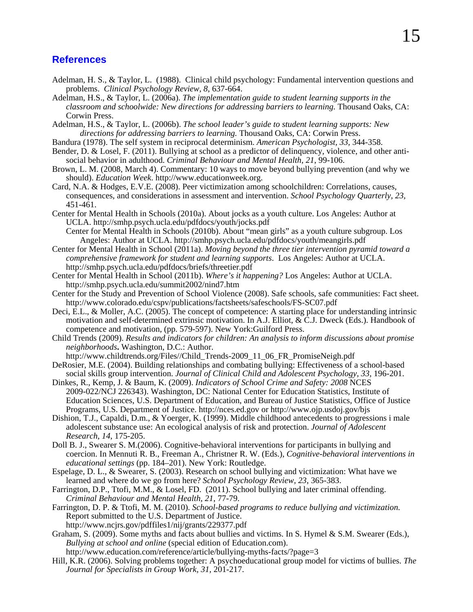#### **References**

- Adelman, H. S., & Taylor, L. (1988). Clinical child psychology: Fundamental intervention questions and problems. *Clinical Psychology Review, 8*, 637-664.
- Adelman, H.S., & Taylor, L. (2006a). *The implementation guide to student learning supports in the classroom and schoolwide: New directions for addressing barriers to learning.* Thousand Oaks, CA: Corwin Press.
- Adelman, H.S., & Taylor, L. (2006b). *The school leader's guide to student learning supports: New directions for addressing barriers to learning.* Thousand Oaks, CA: Corwin Press.
- Bandura (1978). The self system in reciprocal determinism. *American Psychologist, 33,* 344-358.
- Bender, D. & Losel, F. (2011). Bullying at school as a predictor of delinquency, violence, and other antisocial behavior in adulthood. *Criminal Behaviour and Mental Health, 21*, 99-106.
- Brown, L. M. (2008, March 4). Commentary: 10 ways to move beyond bullying prevention (and why we should). *Education Week*. [http://www.educationweek.org.](http://www.educationweek.org)
- Card, N.A. & Hodges, E.V.E. (2008). Peer victimization among schoolchildren: Correlations, causes, consequences, and considerations in assessment and intervention. *School Psychology Quarterly, 23,*  $451 - 461.$
- Center for Mental Health in Schools (2010a). About jocks as a youth culture. Los Angeles: Author at UCLA. <http://smhp.psych.ucla.edu/pdfdocs/youth/jocks.pdf>
	- Center for Mental Health in Schools (2010b). About "mean girls" as a youth culture subgroup. Los Angeles: Author at UCLA.<http://smhp.psych.ucla.edu/pdfdocs/youth/meangirls.pdf>
- Center for Mental Health in School (2011a). *Moving beyond the three tier intervention pyramid toward a comprehensive framework for student and learning supports*. Los Angeles: Author at UCLA. <http://smhp.psych.ucla.edu/pdfdocs/briefs/threetier.pdf>
- Center for Mental Health in School (2011b). *Where's it happening?* Los Angeles: Author at UCLA. <http://smhp.psych.ucla.edu/summit2002/nind7.htm>
- Center for the Study and Prevention of School Violence (2008). Safe schools, safe communities: Fact sheet. <http://www.colorado.edu/cspv/publications/factsheets/safeschools/FS-SC07.pdf>
- Deci, E.L., & Moller, A.C. (2005). The concept of competence: A starting place for understanding intrinsic motivation and self-determined extrinsic motivation. In A.J. Elliot, & C.J. Dweck (Eds.). Handbook of competence and motivation, (pp. 579-597). New York:Guilford Press.
- Child Trends (2009). *Results and indicators for children: An analysis to inform discussions about promise neighborhoods***.** Washington, D.C.: Author.
- [http://www.childtrends.org/Files//Child\\_Trends-2009\\_11\\_06\\_FR\\_PromiseNeigh.pdf](http://www.childtrends.org/Files//Child_Trends-2009_11_06_FR_PromiseNeigh.pdf)
- DeRosier, M.E. (2004). Building relationships and combating bullying: Effectiveness of a school-based social skills group intervention. *Journal of Clinical Child and Adolescent Psychology, 33,* 196-201.
- Dinkes, R., Kemp, J. & Baum, K. (2009). *Indicators of School Crime and Safety: 2008* NCES 2009-022/NCJ 226343). Washington, DC: National Center for Education Statistics, Institute of Education Sciences, U.S. Department of Education, and Bureau of Justice Statistics, Office of Justice Programs, U.S. Department of Justice. [http://nces.ed.gov or](http://nces.ed.gov)<http://www.ojp.usdoj.gov/bjs>
- Dishion, T.J., Capaldi, D.m., & Yoerger, K. (1999). Middle childhood antecedents to progressions i male adolescent substance use: An ecological analysis of risk and protection. *Journal of Adolescent Research, 14*, 175-205.
- Doll B. J., Swearer S. M.(2006). Cognitive-behavioral interventions for participants in bullying and coercion. In Mennuti R. B., Freeman A., Christner R. W. (Eds.), *Cognitive-behavioral interventions in educational settings* (pp. 184–201). New York: Routledge.
- Espelage, D. L., & Swearer, S. (2003). Research on school bullying and victimization: What have we learned and where do we go from here? *School Psychology Review, 23*, 365-383.
- Farrington, D.P., Ttofi, M.M., & Losel, FD. (2011). School bullying and later criminal offending. *Criminal Behaviour and Mental Health, 21*, 77-79.
- Farrington, D. P. & Ttofi, M. M. (2010). *School-based programs to reduce bullying and victimization.* Report submitted to the U.S. Department of Justice.
	- <http://www.ncjrs.gov/pdffiles1/nij/grants/229377.pdf>
- Graham, S. (2009). Some myths and facts about bullies and victims. In S. Hymel & S.M. Swearer (Eds.), *Bullying at school and online* (special edition of Education.com). <http://www.education.com/reference/article/bullying-myths-facts/?page=3>
- Hill, K.R. (2006). Solving problems together: A psychoeducational group model for victims of bullies. *The Journal for Specialists in Group Work, 31,* 201-217.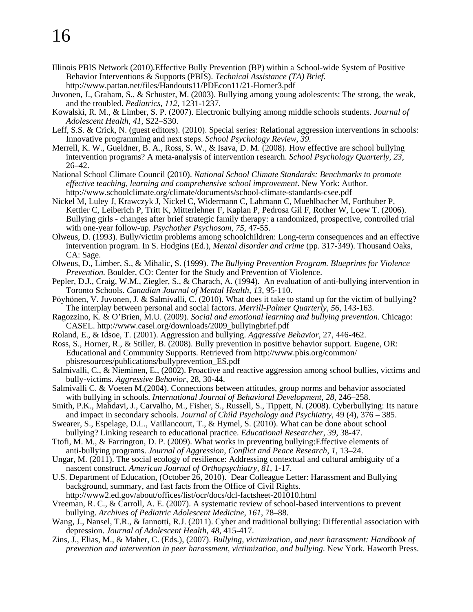- Illinois PBIS Network (2010).Effective Bully Prevention (BP) within a School-wide System of Positive Behavior Interventions & Supports (PBIS). *Technical Assistance (TA) Brief*. <http://www.pattan.net/files/Handouts11/PDEcon11/21-Horner3.pdf>
- Juvonen, J., Graham, S., & Schuster, M. (2003). Bullying among young adolescents: The strong, the weak, and the troubled. *Pediatrics, 112*, 1231-1237.
- Kowalski, R. M., & Limber, S. P. (2007). Electronic bullying among middle schools students. *Journal of Adolescent Health, 41*, S22–S30.
- Leff, S.S. & Crick, N. (guest editors). (2010). Special series: Relational aggression interventions in schools: Innovative programming and next steps. *School Psychology Review, 39.*
- Merrell, K. W., Gueldner, B. A., Ross, S. W., & Isava, D. M. (2008). How effective are school bullying intervention programs? A meta-analysis of intervention research. *School Psychology Quarterly, 23*, 26–42.

National School Climate Council (2010). *National School Climate Standards: Benchmarks to promote effective teaching, learning and comprehensive school improvement*. New York: Author. <http://www.schoolclimate.org/climate/documents/school-climate-standards-csee.pdf>

- Nickel M, Luley J, Krawczyk J, Nickel C, Widermann C, Lahmann C, Muehlbacher M, Forthuber P, Kettler C, Leiberich P, Tritt K, Mitterlehner F, Kaplan P, Pedrosa Gil F, Rother W, Loew T. (2006). Bullying girls - changes after brief strategic family therapy: a randomized, prospective, controlled trial with one-year follow-up. *Psychother Psychosom, 75*, 47-55.
- Olweus, D. (1993). Bully/victim problems among schoolchildren: Long-term consequences and an effective intervention program. In S. Hodgins (Ed.), *Mental disorder and crime* (pp. 317-349). Thousand Oaks, CA: Sage.
- Olweus, D., Limber, S., & Mihalic, S. (1999). *The Bullying Prevention Program. Blueprints for Violence Prevention.* Boulder, CO: Center for the Study and Prevention of Violence.
- Pepler, D.J., Craig, W.M., Ziegler, S., & Charach, A. (1994). An evaluation of anti-bullying intervention in Toronto Schools. *Canadian Journal of Mental Health, 13*, 95-110.
- Pöyhönen, V. Juvonen, J. & Salmivalli, C. (2010). What does it take to stand up for the victim of bullying? The interplay between personal and social factors. *Merrill-Palmer Quarterly, 56*, 143-163.
- Ragozzino, K. & O'Brien, M.U. (2009). *Social and emotional learning and bullying prevention.* Chicago: CASEL. [http://www.casel.org/downloads/2009\\_bullyingbrief.pdf](http://www.casel.org/downloads/2009_bullyingbrief.pdf)
- Roland, E., & Idsoe, T. (2001). Aggression and bullying. *Aggressive Behavior*, 27, 446-462.

Ross, S., Horner, R., & Stiller, B. (2008). Bully prevention in positive behavior support. Eugene, OR: Educational and Community Supports. Retrieved from<http://www.pbis.org/common/> pbisresources/publications/bullyprevention\_ES.pdf

- Salmivalli, C., & Nieminen, E., (2002). Proactive and reactive aggression among school bullies, victims and bully-victims. *Aggressive Behavior*, 28, 30-44.
- Salmivalli C. & Voeten M.(2004). Connections between attitudes, group norms and behavior associated with bullying in schools. *International Journal of Behavioral Development, 28,* 246–258.
- Smith, P.K., Mahdavi, J., Carvalho, M., Fisher, S., Russell, S., Tippett, N. (2008). Cyberbullying: Its nature and impact in secondary schools. *Journal of Child Psychology and Psychiatry*, 49 (4), 376 – 385.
- Swearer, S., Espelage, D.L., Vaillancourt, T., & Hymel, S. (2010). What can be done about school bullying? Linking research to educational practice. *Educational Researcher, 39*, 38-47.
- Ttofi, M. M., & Farrington, D. P. (2009). What works in preventing bullying:Effective elements of anti-bullying programs. *Journal of Aggression, Conflict and Peace Research, 1*, 13–24.
- Ungar, M. (2011). The social ecology of resilience: Addressing contextual and cultural ambiguity of a nascent construct. *American Journal of Orthopsychiatry, 81,* 1-17.
- U.S. Department of Education, (October 26, 2010). Dear Colleague Letter: Harassment and Bullying background, summary, and fast facts from the Office of Civil Rights. <http://www2.ed.gov/about/offices/list/ocr/docs/dcl-factsheet-201010.html>
- Vreeman, R. C., & Carroll, A. E. (2007). A systematic review of school-based interventions to prevent bullying. *Archives of Pediatric Adolescent Medicine, 161*, 78–88.
- Wang, J., Nansel, T.R., & Iannotti, R.J. (2011). Cyber and traditional bullying: Differential association with depression. *Journal of Adolescent Health, 48,* 415-417.
- Zins, J., Elias, M., & Maher, C. (Eds.), (2007). *Bullying, victimization, and peer harassment: Handbook of prevention and intervention in peer harassment, victimization, and bullying*. New York. Haworth Press.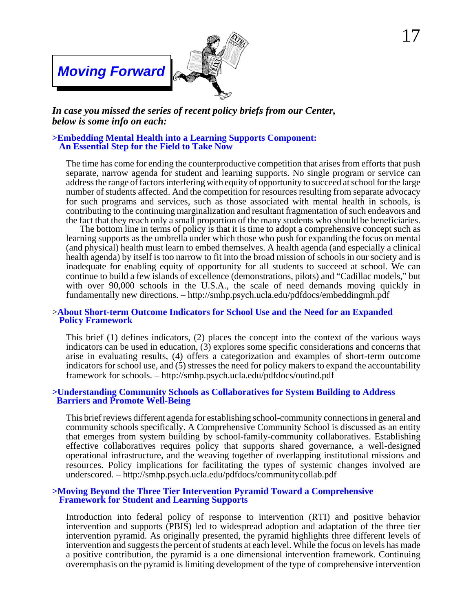### *Moving Forward*

 $\overline{\phantom{a}}$ 



#### *In case you missed the series of recent policy briefs from our Center, below is some info on each:*

#### **>Embedding Mental Health into a Learning Supports Component: An Essential Step for the Field to Take Now**

The time has come for ending the counterproductive competition that arises from efforts that push separate, narrow agenda for student and learning supports. No single program or service can address the range of factors interfering with equity of opportunity to succeed at school for the large number of students affected. And the competition for resources resulting from separate advocacy for such programs and services, such as those associated with mental health in schools, is contributing to the continuing marginalization and resultant fragmentation of such endeavors and the fact that they reach only a small proportion of the many students who should be beneficiaries.

The bottom line in terms of policy is that it is time to adopt a comprehensive concept such as learning supports as the umbrella under which those who push for expanding the focus on mental (and physical) health must learn to embed themselves. A health agenda (and especially a clinical health agenda) by itself is too narrow to fit into the broad mission of schools in our society and is inadequate for enabling equity of opportunity for all students to succeed at school. We can continue to build a few islands of excellence (demonstrations, pilots) and "Cadillac models," but with over 90,000 schools in the U.S.A., the scale of need demands moving quickly in fundamentally new directions. –<http://smhp.psych.ucla.edu/pdfdocs/embeddingmh.pdf>

#### >**About Short-term Outcome Indicators for School Use and the Need for an Expanded Policy Framework**

This brief (1) defines indicators, (2) places the concept into the context of the various ways indicators can be used in education, (3) explores some specific considerations and concerns that arise in evaluating results, (4) offers a categorization and examples of short-term outcome indicators for school use, and (5) stresses the need for policy makers to expand the accountability framework for schools. –<http://smhp.psych.ucla.edu/pdfdocs/outind.pdf>

#### **>Understanding Community Schools as Collaboratives for System Building to Address Barriers and Promote Well-Being**

This brief reviews different agenda for establishing school-community connections in general and community schools specifically. A Comprehensive Community School is discussed as an entity that emerges from system building by school-family-community collaboratives. Establishing effective collaboratives requires policy that supports shared governance, a well-designed operational infrastructure, and the weaving together of overlapping institutional missions and resources. Policy implications for facilitating the types of systemic changes involved are underscored. –<http://smhp.psych.ucla.edu/pdfdocs/communitycollab.pdf>

#### **>Moving Beyond the Three Tier Intervention Pyramid Toward a Comprehensive Framework for Student and Learning Supports**

Introduction into federal policy of response to intervention (RTI) and positive behavior intervention and supports (PBIS) led to widespread adoption and adaptation of the three tier intervention pyramid. As originally presented, the pyramid highlights three different levels of intervention and suggests the percent of students at each level. While the focus on levels has made a positive contribution, the pyramid is a one dimensional intervention framework. Continuing overemphasis on the pyramid is limiting development of the type of comprehensive intervention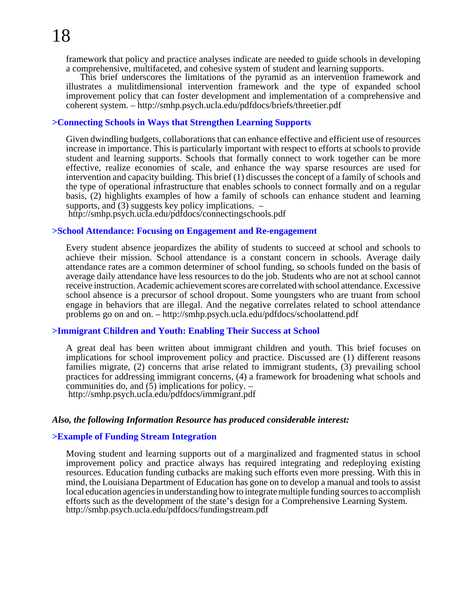framework that policy and practice analyses indicate are needed to guide schools in developing a comprehensive, multifaceted, and cohesive system of student and learning supports.

This brief underscores the limitations of the pyramid as an intervention framework and illustrates a mulitdimensional intervention framework and the type of expanded school improvement policy that can foster development and implementation of a comprehensive and coherent system. –<http://smhp.psych.ucla.edu/pdfdocs/briefs/threetier.pdf>

#### **>Connecting Schools in Ways that Strengthen Learning Supports**

Given dwindling budgets, collaborations that can enhance effective and efficient use of resources increase in importance. This is particularly important with respect to efforts at schools to provide student and learning supports. Schools that formally connect to work together can be more effective, realize economies of scale, and enhance the way sparse resources are used for intervention and capacity building. This brief (1) discusses the concept of a family of schools and the type of operational infrastructure that enables schools to connect formally and on a regular basis, (2) highlights examples of how a family of schools can enhance student and learning supports, and  $(3)$  suggests key policy implications.  $-$ 

<http://smhp.psych.ucla.edu/pdfdocs/connectingschools.pdf>

#### **>School Attendance: Focusing on Engagement and Re-engagement**

Every student absence jeopardizes the ability of students to succeed at school and schools to achieve their mission. School attendance is a constant concern in schools. Average daily attendance rates are a common determiner of school funding, so schools funded on the basis of average daily attendance have less resources to do the job. Students who are not at school cannot receive instruction. Academic achievement scores are correlated with school attendance. Excessive school absence is a precursor of school dropout. Some youngsters who are truant from school engage in behaviors that are illegal. And the negative correlates related to school attendance problems go on and on. – <http://smhp.psych.ucla.edu/pdfdocs/schoolattend.pdf>

#### **>Immigrant Children and Youth: Enabling Their Success at School**

A great deal has been written about immigrant children and youth. This brief focuses on implications for school improvement policy and practice. Discussed are (1) different reasons families migrate, (2) concerns that arise related to immigrant students, (3) prevailing school practices for addressing immigrant concerns, (4) a framework for broadening what schools and communities do, and (5) implications for policy. – <http://smhp.psych.ucla.edu/pdfdocs/immigrant.pdf>

#### *Also, the following Information Resource has produced considerable interest:*

#### **>Example of Funding Stream Integration**

Moving student and learning supports out of a marginalized and fragmented status in school improvement policy and practice always has required integrating and redeploying existing resources. Education funding cutbacks are making such efforts even more pressing. With this in mind, the Louisiana Department of Education has gone on to develop a manual and tools to assist local education agencies in understanding how to integrate multiple funding sources to accomplish efforts such as the development of the state's design for a Comprehensive Learning System. <http://smhp.psych.ucla.edu/pdfdocs/fundingstream.pdf>